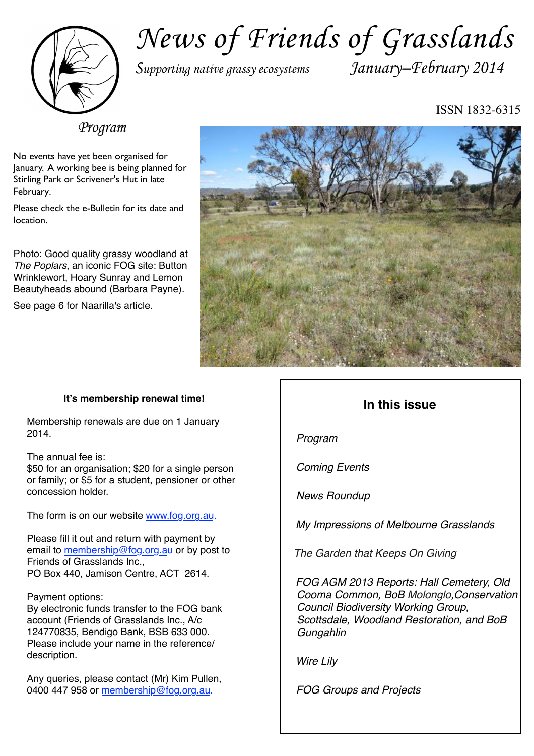

# *News of Friends of Grasslands*

*Supporting native grassy ecosystems January–February 2014*

ISSN 1832-6315

*Program*

No events have yet been organised for January. A working bee is being planned for Stirling Park or Scrivener's Hut in late February.

Please check the e-Bulletin for its date and location.

Photo: Good quality grassy woodland at *The Poplars*, an iconic FOG site: Button Wrinklewort, Hoary Sunray and Lemon Beautyheads abound (Barbara Payne).

See page 6 for Naarilla's article.



## **It's membership renewal time!**

Membership renewals are due on 1 January 2014.

The annual fee is:

\$50 for an organisation; \$20 for a single person or family; or \$5 for a student, pensioner or other concession holder.

The form is on our website [www.fog.org.au](http://www.fog.org.au).

Please fill it out and return with payment by email to [membership@fog.org.au](mailto:membership@fog.org.au) or by post to Friends of Grasslands Inc., PO Box 440, Jamison Centre, ACT 2614.

Payment options:

By electronic funds transfer to the FOG bank account (Friends of Grasslands Inc., A/c 124770835, Bendigo Bank, BSB 633 000. Please include your name in the reference/ description.

Any queries, please contact (Mr) Kim Pullen, 0400 447 958 or [membership@fog.org.au](mailto:membership@fog.org.au).

## **In this issue**

*Program*

*Coming Events*

*News Roundup*

*My Impressions of Melbourne Grasslands*

*The Garden that Keeps On Giving*

*FOG AGM 2013 Reports: Hall Cemetery, Old Cooma Common, BoB Molonglo,Conservation Council Biodiversity Working Group, Scottsdale, Woodland Restoration, and BoB Gungahlin*

*Wire Lily*

*FOG Groups and Projects*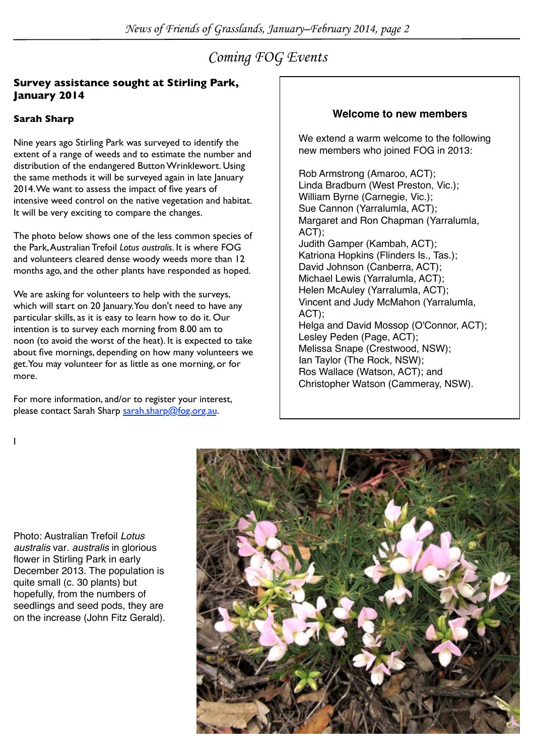## *Coming FOG Events*

## **Survey assistance sought at Stirling Park, January 2014**

## **Sarah Sharp**

Nine years ago Stirling Park was surveyed to identify the extent of a range of weeds and to estimate the number and distribution of the endangered Button Wrinklewort. Using the same methods it will be surveyed again in late January 2014. We want to assess the impact of five years of intensive weed control on the native vegetation and habitat. It will be very exciting to compare the changes.

The photo below shows one of the less common species of the Park, Australian Trefoil *Lotus australis*. It is where FOG and volunteers cleared dense woody weeds more than 12 months ago, and the other plants have responded as hoped.

We are asking for volunteers to help with the surveys, which will start on 20 January. You don't need to have any particular skills, as it is easy to learn how to do it. Our intention is to survey each morning from 8.00 am to noon (to avoid the worst of the heat). It is expected to take about five mornings, depending on how many volunteers we get. You may volunteer for as little as one morning, or for more.

For more information, and/or to register your interest, please contact Sarah Sharp [sarah.sharp@fog.org.au.](mailto:sarah.sharp@fog.org.au)

## **Welcome to new members**

We extend a warm welcome to the following new members who joined FOG in 2013:

Rob Armstrong (Amaroo, ACT); Linda Bradburn (West Preston, Vic.); William Byrne (Carnegie, Vic.); Sue Cannon (Yarralumla, ACT); Margaret and Ron Chapman (Yarralumla, ACT); Judith Gamper (Kambah, ACT); Katriona Hopkins (Flinders Is., Tas.); David Johnson (Canberra, ACT); Michael Lewis (Yarralumla, ACT); Helen McAuley (Yarralumla, ACT); Vincent and Judy McMahon (Yarralumla, ACT); Helga and David Mossop (O'Connor, ACT); Lesley Peden (Page, ACT); Melissa Snape (Crestwood, NSW); Ian Taylor (The Rock, NSW); Ros Wallace (Watson, ACT); and Christopher Watson (Cammeray, NSW).

I

Photo: Australian Trefoil *Lotus australis* var*. australis* in glorious flower in Stirling Park in early December 2013. The population is quite small (c. 30 plants) but hopefully, from the numbers of seedlings and seed pods, they are on the increase (John Fitz Gerald).

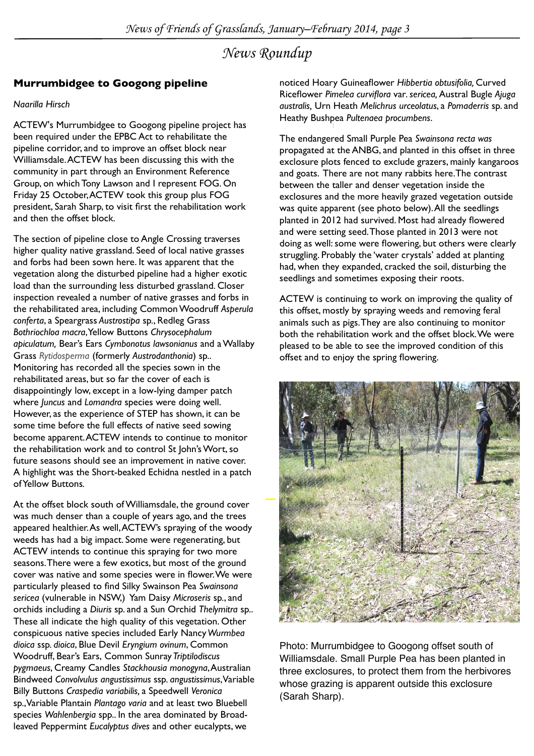## *News Roundup*

## **Murrumbidgee to Googong pipeline**

#### *Naarilla Hirsch*

ACTEW's Murrumbidgee to Googong pipeline project has been required under the EPBC Act to rehabilitate the pipeline corridor, and to improve an offset block near Williamsdale. ACTEW has been discussing this with the community in part through an Environment Reference Group, on which Tony Lawson and I represent FOG. On Friday 25 October, ACTEW took this group plus FOG president, Sarah Sharp, to visit first the rehabilitation work and then the offset block.

The section of pipeline close to Angle Crossing traverses higher quality native grassland. Seed of local native grasses and forbs had been sown here. It was apparent that the vegetation along the disturbed pipeline had a higher exotic load than the surrounding less disturbed grassland. Closer inspection revealed a number of native grasses and forbs in the rehabilitated area, including Common Woodruff *Asperula conferta*, a Speargrass *Austrostipa* sp*.*, Redleg Grass *Bothriochloa macra*, Yellow Buttons *Chrysocephalum apiculatum,* Bear's Ears *Cymbonotus lawsonianus* and a Wallaby Grass *Rytidosperma* (formerly *Austrodanthonia*) sp.. Monitoring has recorded all the species sown in the rehabilitated areas, but so far the cover of each is disappointingly low, except in a low-lying damper patch where *Juncus* and *Lomandra* species were doing well. However, as the experience of STEP has shown, it can be some time before the full effects of native seed sowing become apparent. ACTEW intends to continue to monitor the rehabilitation work and to control St John's Wort, so future seasons should see an improvement in native cover. A highlight was the Short-beaked Echidna nestled in a patch of Yellow Buttons*.*

At the offset block south of Williamsdale, the ground cover was much denser than a couple of years ago, and the trees appeared healthier. As well, ACTEW's spraying of the woody weeds has had a big impact. Some were regenerating, but ACTEW intends to continue this spraying for two more seasons. There were a few exotics, but most of the ground cover was native and some species were in flower. We were particularly pleased to find Silky Swainson Pea *Swainsona sericea* (vulnerable in NSW,) Yam Daisy *Microseris* sp*.*, and orchids including a *Diuris* sp. and a Sun Orchid *Thelymitra* sp.. These all indicate the high quality of this vegetation. Other conspicuous native species included Early Nancy *Wurmbea dioica* ssp*. dioica*, Blue Devil *Eryngium ovinum*, Common Woodruff, Bear's Ears, Common Sunray *Triptilodiscus pygmaeus*, Creamy Candles *Stackhousia monogyna*, Australian Bindweed *Convolvulus angustissimus* ssp*. angustissimus*, Variable Billy Buttons *Craspedia variabilis,* a Speedwell *Veronica*  sp.,Variable Plantain *Plantago varia* and at least two Bluebell species *Wahlenbergia* spp.. In the area dominated by Broadleaved Peppermint *Eucalyptus dives* and other eucalypts, we

noticed Hoary Guineaflower *Hibbertia obtusifolia,* Curved Riceflower *Pimelea curviflora* var*. sericea,* Austral Bugle *Ajuga australis,* Urn Heath *Melichrus urceolatus*, a *Pomaderris* sp. and Heathy Bushpea *Pultenaea procumbens*.

The endangered Small Purple Pea *Swainsona recta was*  propagated at the ANBG, and planted in this offset in three exclosure plots fenced to exclude grazers, mainly kangaroos and goats. There are not many rabbits here.The contrast between the taller and denser vegetation inside the exclosures and the more heavily grazed vegetation outside was quite apparent (see photo below). All the seedlings planted in 2012 had survived. Most had already flowered and were setting seed. Those planted in 2013 were not doing as well: some were flowering, but others were clearly struggling. Probably the 'water crystals' added at planting had, when they expanded, cracked the soil, disturbing the seedlings and sometimes exposing their roots.

ACTEW is continuing to work on improving the quality of this offset, mostly by spraying weeds and removing feral animals such as pigs. They are also continuing to monitor both the rehabilitation work and the offset block. We were pleased to be able to see the improved condition of this offset and to enjoy the spring flowering.



Photo: Murrumbidgee to Googong offset south of Williamsdale. Small Purple Pea has been planted in three exclosures, to protect them from the herbivores whose grazing is apparent outside this exclosure (Sarah Sharp).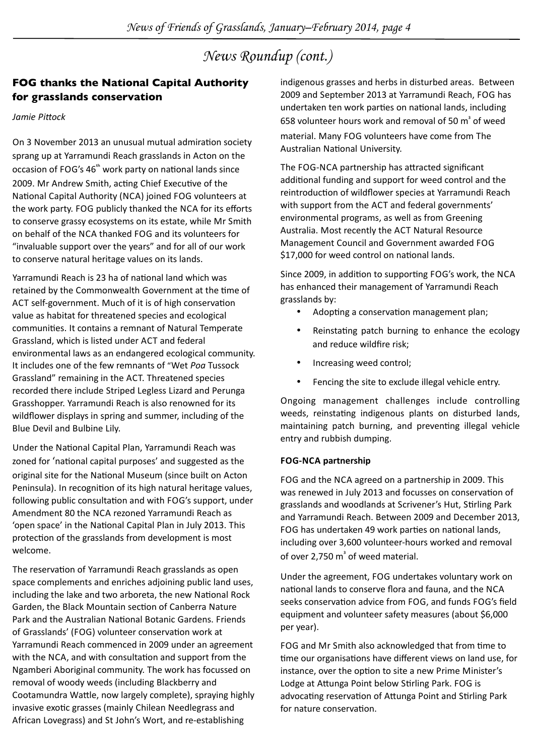## *News Roundup (cont.)*

## **FOG thanks the National Capital Authority for grasslands conservation**

#### *Jamie Pittock*

On 3 November 2013 an unusual mutual admiration society sprang up at Yarramundi Reach grasslands in Acton on the occasion of FOG's 46<sup>th</sup> work party on national lands since 2009. Mr Andrew Smith, acting Chief Executive of the National Capital Authority (NCA) joined FOG volunteers at the work party. FOG publicly thanked the NCA for its efforts to conserve grassy ecosystems on its estate, while Mr Smith on behalf of the NCA thanked FOG and its volunteers for "invaluable support over the years" and for all of our work to conserve natural heritage values on its lands.

Yarramundi Reach is 23 ha of national land which was retained by the Commonwealth Government at the time of ACT self-government. Much of it is of high conservation value as habitat for threatened species and ecological communities. It contains a remnant of Natural Temperate Grassland, which is listed under ACT and federal environmental laws as an endangered ecological community. It includes one of the few remnants of "Wet *Pog* Tussock" Grassland" remaining in the ACT. Threatened species recorded there include Striped Legless Lizard and Perunga Grasshopper. Yarramundi Reach is also renowned for its wildflower displays in spring and summer, including of the Blue Devil and Bulbine Lily.

Under the National Capital Plan, Yarramundi Reach was zoned for 'national capital purposes' and suggested as the original site for the National Museum (since built on Acton Peninsula). In recognition of its high natural heritage values, following public consultation and with FOG's support, under Amendment 80 the NCA rezoned Yarramundi Reach as 'open space' in the National Capital Plan in July 2013. This protection of the grasslands from development is most welcome.

The reservation of Yarramundi Reach grasslands as open space complements and enriches adjoining public land uses, including the lake and two arboreta, the new National Rock Garden, the Black Mountain section of Canberra Nature Park and the Australian National Botanic Gardens. Friends of Grasslands' (FOG) volunteer conservation work at Yarramundi Reach commenced in 2009 under an agreement with the NCA, and with consultation and support from the Ngamberi Aboriginal community. The work has focussed on removal of woody weeds (including Blackberry and Cootamundra Wattle, now largely complete), spraying highly invasive exotic grasses (mainly Chilean Needlegrass and African Lovegrass) and St John's Wort, and re-establishing

indigenous grasses and herbs in disturbed areas. Between 2009 and September 2013 at Yarramundi Reach, FOG has undertaken ten work parties on national lands, including 658 volunteer hours work and removal of 50  $m<sup>3</sup>$  of weed

material. Many FOG volunteers have come from The Australian National University.

The FOG-NCA partnership has attracted significant additional funding and support for weed control and the reintroduction of wildflower species at Yarramundi Reach with support from the ACT and federal governments' environmental programs, as well as from Greening Australia. Most recently the ACT Natural Resource Management Council and Government awarded FOG \$17,000 for weed control on national lands.

Since 2009, in addition to supporting FOG's work, the NCA has enhanced their management of Yarramundi Reach grasslands by:

- Adopting a conservation management plan;
- Reinstating patch burning to enhance the ecology and reduce wildfire risk;
- Increasing weed control;
- Fencing the site to exclude illegal vehicle entry.

Ongoing management challenges include controlling weeds, reinstating indigenous plants on disturbed lands, maintaining patch burning, and preventing illegal vehicle entry and rubbish dumping.

#### **FOG-NCA partnership**

FOG and the NCA agreed on a partnership in 2009. This was renewed in July 2013 and focusses on conservation of grasslands and woodlands at Scrivener's Hut, Stirling Park and Yarramundi Reach. Between 2009 and December 2013, FOG has undertaken 49 work parties on national lands, including over 3,600 volunteer-hours worked and removal of over 2,750 m<sup>3</sup> of weed material.

Under the agreement, FOG undertakes voluntary work on national lands to conserve flora and fauna, and the NCA seeks conservation advice from FOG, and funds FOG's field equipment and volunteer safety measures (about \$6,000 per year).

FOG and Mr Smith also acknowledged that from time to time our organisations have different views on land use, for instance, over the option to site a new Prime Minister's Lodge at Attunga Point below Stirling Park. FOG is advocating reservation of Attunga Point and Stirling Park for nature conservation.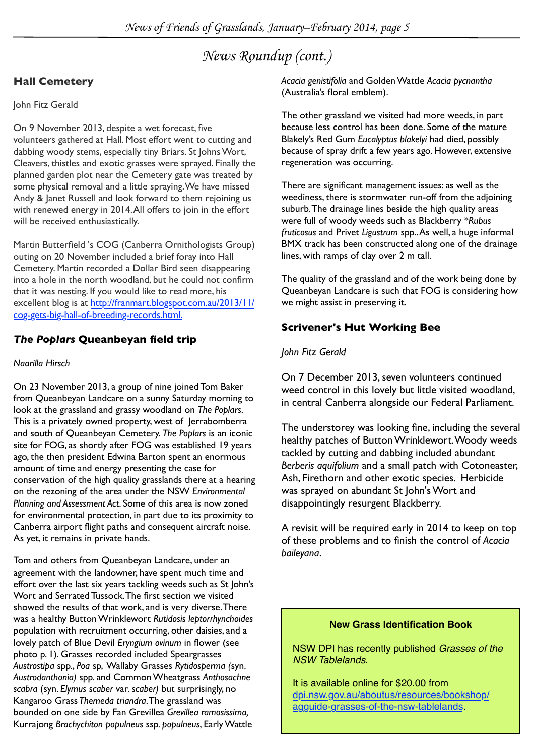## *News Roundup (cont.)*

## **Hall Cemetery**

## John Fitz Gerald

On 9 November 2013, despite a wet forecast, five volunteers gathered at Hall. Most effort went to cutting and dabbing woody stems, especially tiny Briars. St Johns Wort, Cleavers, thistles and exotic grasses were sprayed. Finally the planned garden plot near the Cemetery gate was treated by some physical removal and a little spraying. We have missed Andy & Janet Russell and look forward to them rejoining us with renewed energy in 2014. All offers to join in the effort will be received enthusiastically.

Martin Butterfield 's COG (Canberra Ornithologists Group) outing on 20 November included a brief foray into Hall Cemetery. Martin recorded a Dollar Bird seen disappearing into a hole in the north woodland, but he could not confirm that it was nesting. If you would like to read more, his excellent blog is at [http://franmart.blogspot.com.au/2013/11/](%22) [cog-gets-big-hall-of-breeding-records.html](%22).

## *The Poplars* **Queanbeyan field trip**

## *Naarilla Hirsch*

On 23 November 2013, a group of nine joined Tom Baker from Queanbeyan Landcare on a sunny Saturday morning to look at the grassland and grassy woodland on *The Poplars*. This is a privately owned property, west of Jerrabomberra and south of Queanbeyan Cemetery. *The Poplars* is an iconic site for FOG, as shortly after FOG was established 19 years ago, the then president Edwina Barton spent an enormous amount of time and energy presenting the case for conservation of the high quality grasslands there at a hearing on the rezoning of the area under the NSW *Environmental Planning and Assessment Act*. Some of this area is now zoned for environmental protection, in part due to its proximity to Canberra airport flight paths and consequent aircraft noise. As yet, it remains in private hands.

Tom and others from Queanbeyan Landcare, under an agreement with the landowner, have spent much time and effort over the last six years tackling weeds such as St John's Wort and Serrated Tussock. The first section we visited showed the results of that work, and is very diverse. There was a healthy Button Wrinklewort *Rutidosis leptorrhynchoides* population with recruitment occurring, other daisies, and a lovely patch of Blue Devil *Eryngium ovinum* in flower (see photo p. 1). Grasses recorded included Speargrasses *Austrostipa* spp., *Poa* sp, Wallaby Grasses *Rytidosperma (*syn. *Austrodanthonia)* spp. and Common Wheatgrass *Anthosachne scabra* (syn. *Elymus scaber* var*. scaber)* but surprisingly, no Kangaroo Grass *Themeda triandra*. The grassland was bounded on one side by Fan Grevillea *Grevillea ramosissima,*  Kurrajong *Brachychiton populneus* ssp*. populneus*, Early Wattle

*Acacia genistifolia* and Golden Wattle *Acacia pycnantha* (Australia's floral emblem).

The other grassland we visited had more weeds, in part because less control has been done. Some of the mature Blakely's Red Gum *Eucalyptus blakelyi* had died, possibly because of spray drift a few years ago. However, extensive regeneration was occurring.

There are significant management issues: as well as the weediness, there is stormwater run-off from the adjoining suburb. The drainage lines beside the high quality areas were full of woody weeds such as Blackberry \**Rubus fruticosus* and Privet *Ligustrum* spp.. As well, a huge informal BMX track has been constructed along one of the drainage lines, with ramps of clay over 2 m tall.

The quality of the grassland and of the work being done by Queanbeyan Landcare is such that FOG is considering how we might assist in preserving it.

## **Scrivener's Hut Working Bee**

## *John Fitz Gerald*

On 7 December 2013, seven volunteers continued weed control in this lovely but little visited woodland, in central Canberra alongside our Federal Parliament.

The understorey was looking fine, including the several healthy patches of Button Wrinklewort. Woody weeds tackled by cutting and dabbing included abundant *Berberis aquifolium* and a small patch with Cotoneaster, Ash, Firethorn and other exotic species. Herbicide was sprayed on abundant St John's Wort and disappointingly resurgent Blackberry.

A revisit will be required early in 2014 to keep on top of these problems and to finish the control of *Acacia baileyana*.

### **New Grass Identification Book**

NSW DPI has recently published *Grasses of the NSW Tablelands*.

It is available online for \$20.00 from [dpi.nsw.gov.au/aboutus/resources/bookshop/](http://www.dpi.nsw.gov.au/aboutus/resources/bookshop/agguide-grasses-of-the-nsw-tablelands) [agguide-grasses-of-the-nsw-tablelands](http://www.dpi.nsw.gov.au/aboutus/resources/bookshop/agguide-grasses-of-the-nsw-tablelands).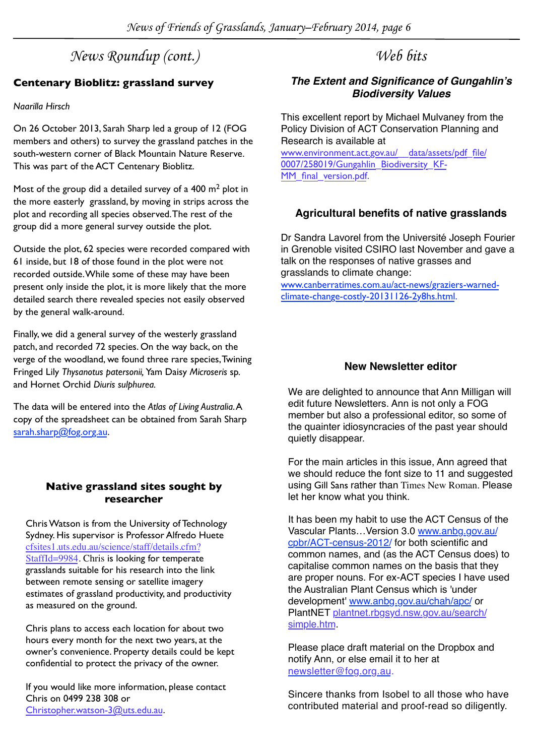## *News Roundup (cont.)*

## **Centenary Bioblitz: grassland survey**

### *Naarilla Hirsch*

On 26 October 2013, Sarah Sharp led a group of 12 (FOG members and others) to survey the grassland patches in the south-western corner of Black Mountain Nature Reserve. This was part of the ACT Centenary Bioblitz.

Most of the group did a detailed survey of a  $400 \text{ m}^2$  plot in the more easterly grassland, by moving in strips across the plot and recording all species observed. The rest of the group did a more general survey outside the plot.

Outside the plot, 62 species were recorded compared with 61 inside, but 18 of those found in the plot were not recorded outside. While some of these may have been present only inside the plot, it is more likely that the more detailed search there revealed species not easily observed by the general walk-around.

Finally, we did a general survey of the westerly grassland patch, and recorded 72 species. On the way back, on the verge of the woodland, we found three rare species, Twining Fringed Lily *Thysanotus patersonii,* Yam Daisy *Microseris* sp*.* and Hornet Orchid *Diuris sulphurea.* 

The data will be entered into the *Atlas of Living Australia*. A copy of the spreadsheet can be obtained from Sarah Sharp [sarah.sharp@fog.org.au.](mailto:sarah.sharp@fog.org.au)

## **Native grassland sites sought by researcher**

Chris Watson is from the University of Technology Sydney. His supervisor is Professor Alfredo Huete [cfsites1.uts.edu.au/science/staff/details.cfm?](http://cfsites1.uts.edu.au/science/staff/details.cfm?StaffId=9984) [StaffId=9984](http://cfsites1.uts.edu.au/science/staff/details.cfm?StaffId=9984). Chris is looking for temperate grasslands suitable for his research into the link between remote sensing or satellite imagery estimates of grassland productivity, and productivity as measured on the ground.

Chris plans to access each location for about two hours every month for the next two years, at the owner's convenience. Property details could be kept confidential to protect the privacy of the owner.

If you would like more information, please contact Chris on 0499 238 308 or [Christopher.watson-3@uts.edu.au.](mailto:Christopher.watson-3@uts.edu.au)

## *Web bits*

## *The Extent and Significance of Gungahlin's Biodiversity Values*

This excellent report by Michael Mulvaney from the Policy Division of ACT Conservation Planning and Research is available at

[www.environment.act.gov.au/\\_\\_data/assets/pdf\\_file/](http://www.environment.act.gov.au/__data/assets/pdf_file/0007/258019/Gungahlin_Biodiversity_KF-MM_final_version.pdf) [0007/258019/Gungahlin\\_Biodiversity\\_KF-](http://www.environment.act.gov.au/__data/assets/pdf_file/0007/258019/Gungahlin_Biodiversity_KF-MM_final_version.pdf)[MM\\_final\\_version.pdf](http://www.environment.act.gov.au/__data/assets/pdf_file/0007/258019/Gungahlin_Biodiversity_KF-MM_final_version.pdf).

## **Agricultural benefits of native grasslands**

Dr Sandra Lavorel from the Université Joseph Fourier in Grenoble visited CSIRO last November and gave a talk on the responses of native grasses and grasslands to climate change:

[www.canberratimes.com.au/act-news/graziers-warned](http://www.canberratimes.com.au/act-news/graziers-warned-climate-change-costly-20131126-2y8hs.html)[climate-change-costly-20131126-2y8hs.html](http://www.canberratimes.com.au/act-news/graziers-warned-climate-change-costly-20131126-2y8hs.html).

## **New Newsletter editor**

We are delighted to announce that Ann Milligan will edit future Newsletters. Ann is not only a FOG member but also a professional editor, so some of the quainter idiosyncracies of the past year should quietly disappear.

For the main articles in this issue, Ann agreed that we should reduce the font size to 11 and suggested using Gill Sans rather than Times New Roman. Please let her know what you think.

It has been my habit to use the ACT Census of the Vascular Plants…Version 3.0 [www.anbg.gov.au/](http://www.anbg.gov.au/cpbr/ACT-census-2012/) [cpbr/ACT-census-2012/](http://www.anbg.gov.au/cpbr/ACT-census-2012/) for both scientific and common names, and (as the ACT Census does) to capitalise common names on the basis that they are proper nouns. For ex-ACT species I have used the Australian Plant Census which is 'under development' [www.anbg.gov.au/chah/apc/](https://www.anbg.gov.au/chah/apc/) or PlantNET [plantnet.rbgsyd.nsw.gov.au/search/](http://plantnet.rbgsyd.nsw.gov.au/search/simple.htm) [simple.htm](http://plantnet.rbgsyd.nsw.gov.au/search/simple.htm).

Please place draft material on the Dropbox and notify Ann, or else email it to her at [newsletter@fog.org.au](mailto:newsletter@fog.org.au).

Sincere thanks from Isobel to all those who have contributed material and proof-read so diligently.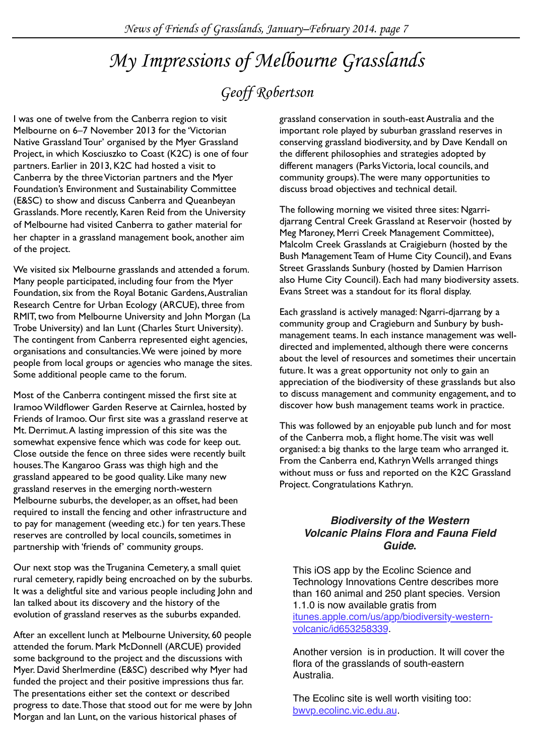## *My Impressions of Melbourne Grasslands*

## *Geoff Robertson*

I was one of twelve from the Canberra region to visit Melbourne on 6–7 November 2013 for the 'Victorian Native Grassland Tour' organised by the Myer Grassland Project, in which Kosciuszko to Coast (K2C) is one of four partners. Earlier in 2013, K2C had hosted a visit to Canberra by the three Victorian partners and the Myer Foundation's Environment and Sustainability Committee (E&SC) to show and discuss Canberra and Queanbeyan Grasslands. More recently, Karen Reid from the University of Melbourne had visited Canberra to gather material for her chapter in a grassland management book, another aim of the project.

We visited six Melbourne grasslands and attended a forum. Many people participated, including four from the Myer Foundation, six from the Royal Botanic Gardens, Australian Research Centre for Urban Ecology (ARCUE), three from RMIT, two from Melbourne University and John Morgan (La Trobe University) and Ian Lunt (Charles Sturt University). The contingent from Canberra represented eight agencies, organisations and consultancies. We were joined by more people from local groups or agencies who manage the sites. Some additional people came to the forum.

Most of the Canberra contingent missed the first site at Iramoo Wildflower Garden Reserve at Cairnlea, hosted by Friends of Iramoo. Our first site was a grassland reserve at Mt. Derrimut. A lasting impression of this site was the somewhat expensive fence which was code for keep out. Close outside the fence on three sides were recently built houses. The Kangaroo Grass was thigh high and the grassland appeared to be good quality. Like many new grassland reserves in the emerging north-western Melbourne suburbs, the developer, as an offset, had been required to install the fencing and other infrastructure and to pay for management (weeding etc.) for ten years. These reserves are controlled by local councils, sometimes in partnership with 'friends of' community groups.

Our next stop was the Truganina Cemetery, a small quiet rural cemetery, rapidly being encroached on by the suburbs. It was a delightful site and various people including John and Ian talked about its discovery and the history of the evolution of grassland reserves as the suburbs expanded.

After an excellent lunch at Melbourne University, 60 people attended the forum. Mark McDonnell (ARCUE) provided some background to the project and the discussions with Myer. David Sherlmerdine (E&SC) described why Myer had funded the project and their positive impressions thus far. The presentations either set the context or described progress to date. Those that stood out for me were by John Morgan and Ian Lunt, on the various historical phases of

grassland conservation in south-east Australia and the important role played by suburban grassland reserves in conserving grassland biodiversity, and by Dave Kendall on the different philosophies and strategies adopted by different managers (Parks Victoria, local councils, and community groups). The were many opportunities to discuss broad objectives and technical detail.

The following morning we visited three sites: Ngarridjarrang Central Creek Grassland at Reservoir (hosted by Meg Maroney, Merri Creek Management Committee), Malcolm Creek Grasslands at Craigieburn (hosted by the Bush Management Team of Hume City Council), and Evans Street Grasslands Sunbury (hosted by Damien Harrison also Hume City Council). Each had many biodiversity assets. Evans Street was a standout for its floral display.

Each grassland is actively managed: Ngarri-djarrang by a community group and Cragieburn and Sunbury by bushmanagement teams. In each instance management was welldirected and implemented, although there were concerns about the level of resources and sometimes their uncertain future. It was a great opportunity not only to gain an appreciation of the biodiversity of these grasslands but also to discuss management and community engagement, and to discover how bush management teams work in practice.

This was followed by an enjoyable pub lunch and for most of the Canberra mob, a flight home. The visit was well organised: a big thanks to the large team who arranged it. From the Canberra end, Kathryn Wells arranged things without muss or fuss and reported on the K2C Grassland Project. Congratulations Kathryn.

## *Biodiversity of the Western Volcanic Plains Flora and Fauna Field Guide***.**

This iOS app by the Ecolinc Science and Technology Innovations Centre describes more than 160 animal and 250 plant species. Version 1.1.0 is now available gratis from [itunes.apple.com/us/app/biodiversity-western](https://itunes.apple.com/us/app/biodiversity-western-volcanic/id653258339)[volcanic/id653258339.](https://itunes.apple.com/us/app/biodiversity-western-volcanic/id653258339)

Another version is in production. It will cover the flora of the grasslands of south-eastern Australia.

The Ecolinc site is well worth visiting too: [bwvp.ecolinc.vic.edu.au.](http://bwvp.ecolinc.vic.edu.au)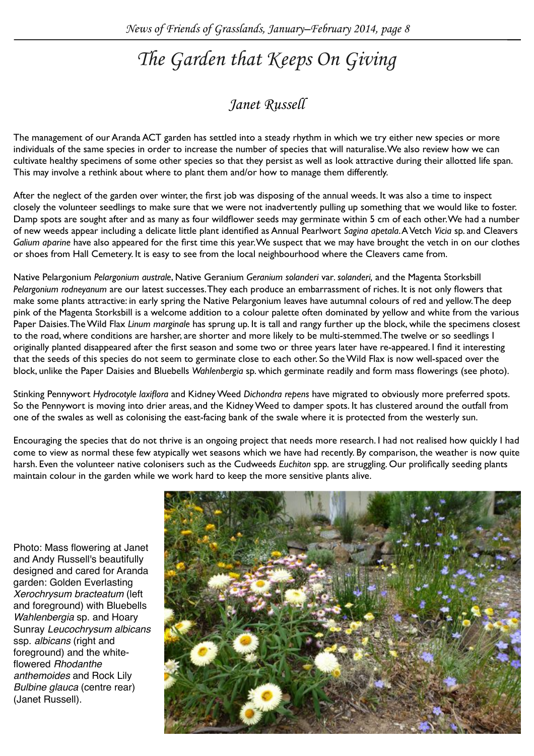## *The Garden that Keeps On Giving*

## *Janet Russell*

The management of our Aranda ACT garden has settled into a steady rhythm in which we try either new species or more individuals of the same species in order to increase the number of species that will naturalise. We also review how we can cultivate healthy specimens of some other species so that they persist as well as look attractive during their allotted life span. This may involve a rethink about where to plant them and/or how to manage them differently.

After the neglect of the garden over winter, the first job was disposing of the annual weeds. It was also a time to inspect closely the volunteer seedlings to make sure that we were not inadvertently pulling up something that we would like to foster. Damp spots are sought after and as many as four wildflower seeds may germinate within 5 cm of each other. We had a number of new weeds appear including a delicate little plant identified as Annual Pearlwort *Sagina apetala*. A Vetch *Vicia* sp. and Cleavers *Galium aparine* have also appeared for the first time this year. We suspect that we may have brought the vetch in on our clothes or shoes from Hall Cemetery. It is easy to see from the local neighbourhood where the Cleavers came from.

Native Pelargonium *Pelargonium australe*, Native Geranium *Geranium solanderi* var*. solanderi,* and the Magenta Storksbill *Pelargonium rodneyanum* are our latest successes. They each produce an embarrassment of riches. It is not only flowers that make some plants attractive: in early spring the Native Pelargonium leaves have autumnal colours of red and yellow. The deep pink of the Magenta Storksbill is a welcome addition to a colour palette often dominated by yellow and white from the various Paper Daisies. The Wild Flax *Linum marginale* has sprung up. It is tall and rangy further up the block, while the specimens closest to the road, where conditions are harsher, are shorter and more likely to be multi-stemmed. The twelve or so seedlings I originally planted disappeared after the first season and some two or three years later have re-appeared. I find it interesting that the seeds of this species do not seem to germinate close to each other. So the Wild Flax is now well-spaced over the block, unlike the Paper Daisies and Bluebells *Wahlenbergia* sp. which germinate readily and form mass flowerings (see photo).

Stinking Pennywort *Hydrocotyle laxiflora* and Kidney Weed *Dichondra repens* have migrated to obviously more preferred spots. So the Pennywort is moving into drier areas, and the Kidney Weed to damper spots. It has clustered around the outfall from one of the swales as well as colonising the east-facing bank of the swale where it is protected from the westerly sun.

Encouraging the species that do not thrive is an ongoing project that needs more research. I had not realised how quickly I had come to view as normal these few atypically wet seasons which we have had recently. By comparison, the weather is now quite harsh. Even the volunteer native colonisers such as the Cudweeds *Euchiton* spp*.* are struggling. Our prolifically seeding plants maintain colour in the garden while we work hard to keep the more sensitive plants alive.

Photo: Mass flowering at Janet and Andy Russell's beautifully designed and cared for Aranda garden: Golden Everlasting *Xerochrysum bracteatum* (left and foreground) with Bluebells *Wahlenbergia* sp. and Hoary Sunray *Leucochrysum albicans* ssp. *albicans* (right and foreground) and the whiteflowered *Rhodanthe anthemoides* and Rock Lily *Bulbine glauca* (centre rear) (Janet Russell).

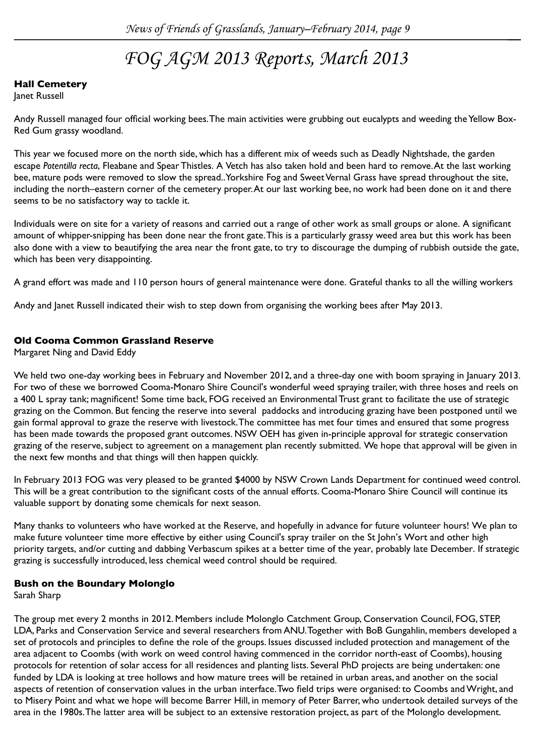## *FOG AGM 2013 Reports, March 2013*

## **Hall Cemetery**

Janet Russell

Andy Russell managed four official working bees. The main activities were grubbing out eucalypts and weeding the Yellow Box-Red Gum grassy woodland.

This year we focused more on the north side, which has a different mix of weeds such as Deadly Nightshade, the garden escape *Potentilla recta*, Fleabane and Spear Thistles. A Vetch has also taken hold and been hard to remove. At the last working bee, mature pods were removed to slow the spread.. Yorkshire Fog and Sweet Vernal Grass have spread throughout the site, including the north–eastern corner of the cemetery proper. At our last working bee, no work had been done on it and there seems to be no satisfactory way to tackle it.

Individuals were on site for a variety of reasons and carried out a range of other work as small groups or alone. A significant amount of whipper-snipping has been done near the front gate. This is a particularly grassy weed area but this work has been also done with a view to beautifying the area near the front gate, to try to discourage the dumping of rubbish outside the gate, which has been very disappointing.

A grand effort was made and 110 person hours of general maintenance were done. Grateful thanks to all the willing workers

Andy and Janet Russell indicated their wish to step down from organising the working bees after May 2013.

### **Old Cooma Common Grassland Reserve**

Margaret Ning and David Eddy

We held two one-day working bees in February and November 2012, and a three-day one with boom spraying in January 2013. For two of these we borrowed Cooma-Monaro Shire Council's wonderful weed spraying trailer, with three hoses and reels on a 400 L spray tank; magnificent! Some time back, FOG received an Environmental Trust grant to facilitate the use of strategic grazing on the Common. But fencing the reserve into several paddocks and introducing grazing have been postponed until we gain formal approval to graze the reserve with livestock. The committee has met four times and ensured that some progress has been made towards the proposed grant outcomes. NSW OEH has given in-principle approval for strategic conservation grazing of the reserve, subject to agreement on a management plan recently submitted. We hope that approval will be given in the next few months and that things will then happen quickly.

In February 2013 FOG was very pleased to be granted \$4000 by NSW Crown Lands Department for continued weed control. This will be a great contribution to the significant costs of the annual efforts. Cooma-Monaro Shire Council will continue its valuable support by donating some chemicals for next season.

Many thanks to volunteers who have worked at the Reserve, and hopefully in advance for future volunteer hours! We plan to make future volunteer time more effective by either using Council's spray trailer on the St John's Wort and other high priority targets, and/or cutting and dabbing Verbascum spikes at a better time of the year, probably late December. If strategic grazing is successfully introduced, less chemical weed control should be required.

### **Bush on the Boundary Molonglo**

Sarah Sharp

The group met every 2 months in 2012. Members include Molonglo Catchment Group, Conservation Council, FOG, STEP, LDA, Parks and Conservation Service and several researchers from ANU. Together with BoB Gungahlin, members developed a set of protocols and principles to define the role of the groups. Issues discussed included protection and management of the area adjacent to Coombs (with work on weed control having commenced in the corridor north-east of Coombs), housing protocols for retention of solar access for all residences and planting lists. Several PhD projects are being undertaken: one funded by LDA is looking at tree hollows and how mature trees will be retained in urban areas, and another on the social aspects of retention of conservation values in the urban interface. Two field trips were organised: to Coombs and Wright, and to Misery Point and what we hope will become Barrer Hill, in memory of Peter Barrer, who undertook detailed surveys of the area in the 1980s. The latter area will be subject to an extensive restoration project, as part of the Molonglo development.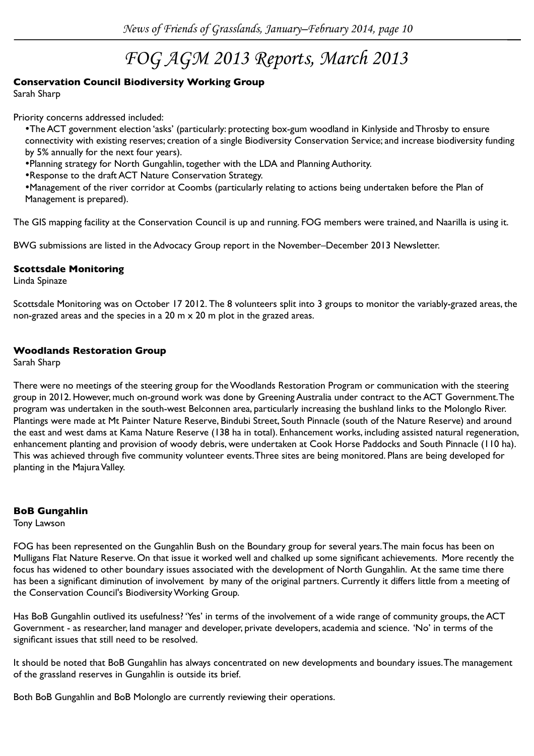## *FOG AGM 2013 Reports, March 2013*

### **Conservation Council Biodiversity Working Group**

Sarah Sharp

Priority concerns addressed included:

•The ACT government election 'asks' (particularly: protecting box-gum woodland in Kinlyside and Throsby to ensure connectivity with existing reserves; creation of a single Biodiversity Conservation Service; and increase biodiversity funding by 5% annually for the next four years).

•Planning strategy for North Gungahlin, together with the LDA and Planning Authority.

•Response to the draft ACT Nature Conservation Strategy.

•Management of the river corridor at Coombs (particularly relating to actions being undertaken before the Plan of Management is prepared).

The GIS mapping facility at the Conservation Council is up and running. FOG members were trained, and Naarilla is using it.

BWG submissions are listed in the Advocacy Group report in the November–December 2013 Newsletter.

#### **Scottsdale Monitoring**

Linda Spinaze

Scottsdale Monitoring was on October 17 2012. The 8 volunteers split into 3 groups to monitor the variably-grazed areas, the non-grazed areas and the species in a 20 m  $\times$  20 m plot in the grazed areas.

### **Woodlands Restoration Group**

Sarah Sharp

There were no meetings of the steering group for the Woodlands Restoration Program or communication with the steering group in 2012. However, much on-ground work was done by Greening Australia under contract to the ACT Government. The program was undertaken in the south-west Belconnen area, particularly increasing the bushland links to the Molonglo River. Plantings were made at Mt Painter Nature Reserve, Bindubi Street, South Pinnacle (south of the Nature Reserve) and around the east and west dams at Kama Nature Reserve (138 ha in total). Enhancement works, including assisted natural regeneration, enhancement planting and provision of woody debris, were undertaken at Cook Horse Paddocks and South Pinnacle (110 ha). This was achieved through five community volunteer events. Three sites are being monitored. Plans are being developed for planting in the Majura Valley.

### **BoB Gungahlin**

Tony Lawson

FOG has been represented on the Gungahlin Bush on the Boundary group for several years. The main focus has been on Mulligans Flat Nature Reserve. On that issue it worked well and chalked up some significant achievements. More recently the focus has widened to other boundary issues associated with the development of North Gungahlin. At the same time there has been a significant diminution of involvement by many of the original partners. Currently it differs little from a meeting of the Conservation Council's Biodiversity Working Group.

Has BoB Gungahlin outlived its usefulness? 'Yes' in terms of the involvement of a wide range of community groups, the ACT Government - as researcher, land manager and developer, private developers, academia and science. 'No' in terms of the significant issues that still need to be resolved.

It should be noted that BoB Gungahlin has always concentrated on new developments and boundary issues. The management of the grassland reserves in Gungahlin is outside its brief.

Both BoB Gungahlin and BoB Molonglo are currently reviewing their operations.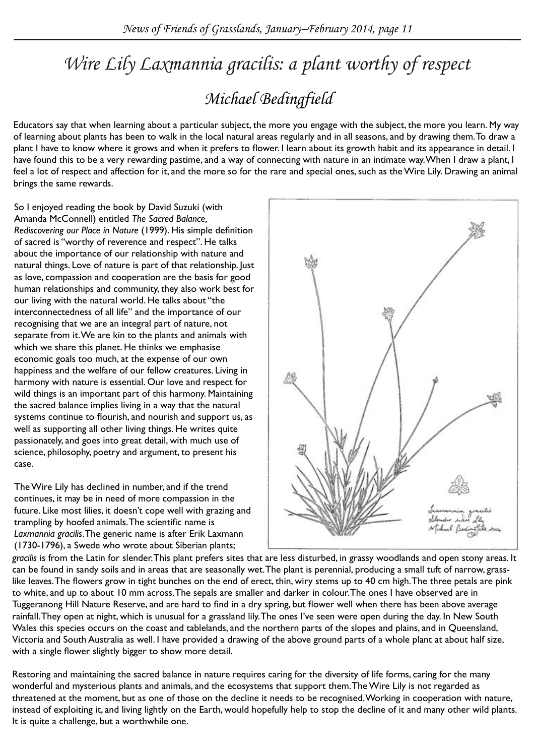## *Michael Bedingfield Wire Lily Laxmannia gracilis: a plant worthy of respect*

Educators say that when learning about a particular subject, the more you engage with the subject, the more you learn. My way of learning about plants has been to walk in the local natural areas regularly and in all seasons, and by drawing them. To draw a plant I have to know where it grows and when it prefers to flower. I learn about its growth habit and its appearance in detail. I have found this to be a very rewarding pastime, and a way of connecting with nature in an intimate way. When I draw a plant, I feel a lot of respect and affection for it, and the more so for the rare and special ones, such as the Wire Lily. Drawing an animal brings the same rewards.

So I enjoyed reading the book by David Suzuki (with Amanda McConnell) entitled *The Sacred Balance, Rediscovering our Place in Nature* (1999). His simple definition of sacred is "worthy of reverence and respect". He talks about the importance of our relationship with nature and natural things. Love of nature is part of that relationship. Just as love, compassion and cooperation are the basis for good human relationships and community, they also work best for our living with the natural world. He talks about "the interconnectedness of all life" and the importance of our recognising that we are an integral part of nature, not separate from it. We are kin to the plants and animals with which we share this planet. He thinks we emphasise economic goals too much, at the expense of our own happiness and the welfare of our fellow creatures. Living in harmony with nature is essential. Our love and respect for wild things is an important part of this harmony. Maintaining the sacred balance implies living in a way that the natural systems continue to flourish, and nourish and support us, as well as supporting all other living things. He writes quite passionately, and goes into great detail, with much use of science, philosophy, poetry and argument, to present his case.

The Wire Lily has declined in number, and if the trend continues, it may be in need of more compassion in the future. Like most lilies, it doesn't cope well with grazing and trampling by hoofed animals. The scientific name is *Laxmannia gracilis*. The generic name is after Erik Laxmann (1730-1796), a Swede who wrote about Siberian plants;



*gracilis* is from the Latin for slender. This plant prefers sites that are less disturbed, in grassy woodlands and open stony areas. It can be found in sandy soils and in areas that are seasonally wet. The plant is perennial, producing a small tuft of narrow, grasslike leaves. The flowers grow in tight bunches on the end of erect, thin, wiry stems up to 40 cm high. The three petals are pink to white, and up to about 10 mm across. The sepals are smaller and darker in colour. The ones I have observed are in Tuggeranong Hill Nature Reserve, and are hard to find in a dry spring, but flower well when there has been above average rainfall. They open at night, which is unusual for a grassland lily. The ones I've seen were open during the day. In New South Wales this species occurs on the coast and tablelands, and the northern parts of the slopes and plains, and in Queensland, Victoria and South Australia as well. I have provided a drawing of the above ground parts of a whole plant at about half size, with a single flower slightly bigger to show more detail.

Restoring and maintaining the sacred balance in nature requires caring for the diversity of life forms, caring for the many wonderful and mysterious plants and animals, and the ecosystems that support them. The Wire Lily is not regarded as threatened at the moment, but as one of those on the decline it needs to be recognised. Working in cooperation with nature, instead of exploiting it, and living lightly on the Earth, would hopefully help to stop the decline of it and many other wild plants. It is quite a challenge, but a worthwhile one.